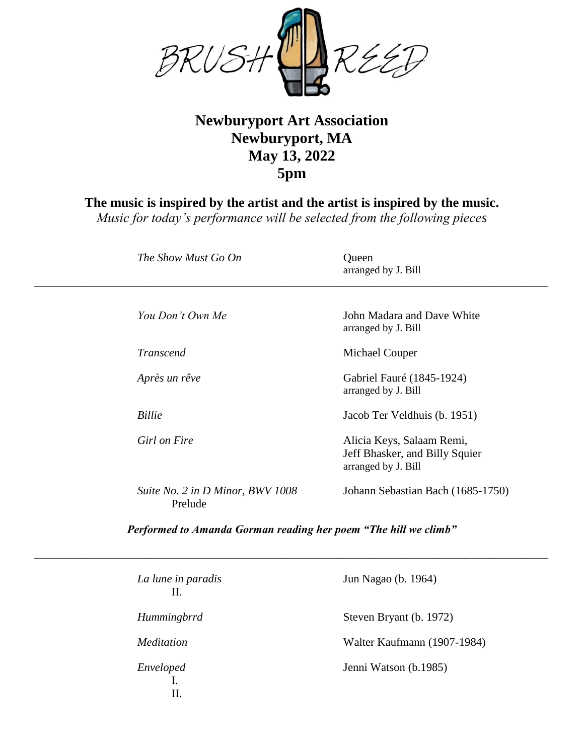

## **Newburyport Art Association Newburyport, MA May 13, 2022 5pm**

**The music is inspired by the artist and the artist is inspired by the music.**

*Music for today's performance will be selected from the following pieces*

| The Show Must Go On                         | Queen<br>arranged by J. Bill                                                       |
|---------------------------------------------|------------------------------------------------------------------------------------|
| You Don't Own Me                            | John Madara and Dave White<br>arranged by J. Bill                                  |
| <b>Transcend</b>                            | Michael Couper                                                                     |
| Après un rêve                               | Gabriel Fauré (1845-1924)<br>arranged by J. Bill                                   |
| <b>Billie</b>                               | Jacob Ter Veldhuis (b. 1951)                                                       |
| Girl on Fire                                | Alicia Keys, Salaam Remi,<br>Jeff Bhasker, and Billy Squier<br>arranged by J. Bill |
| Suite No. 2 in D Minor, BWV 1008<br>Prelude | Johann Sebastian Bach (1685-1750)                                                  |

*Performed to Amanda Gorman reading her poem "The hill we climb"*

*\_\_\_\_\_\_\_\_\_\_\_\_\_\_\_\_\_\_\_\_\_\_\_\_\_\_\_\_\_\_\_\_\_\_\_\_\_\_\_\_\_\_\_\_\_\_\_\_\_\_\_\_\_\_\_\_\_\_\_\_\_\_\_\_\_\_\_\_\_\_\_\_\_\_\_\_\_\_\_\_\_\_\_\_\_\_\_\_\_\_\_\_\_\_\_\_\_\_*

| La lune in paradis<br>Н. | Jun Nagao (b. 1964)         |
|--------------------------|-----------------------------|
| Hummingbrrd              | Steven Bryant (b. 1972)     |
| <i>Meditation</i>        | Walter Kaufmann (1907-1984) |
| Enveloped<br>П.          | Jenni Watson (b.1985)       |